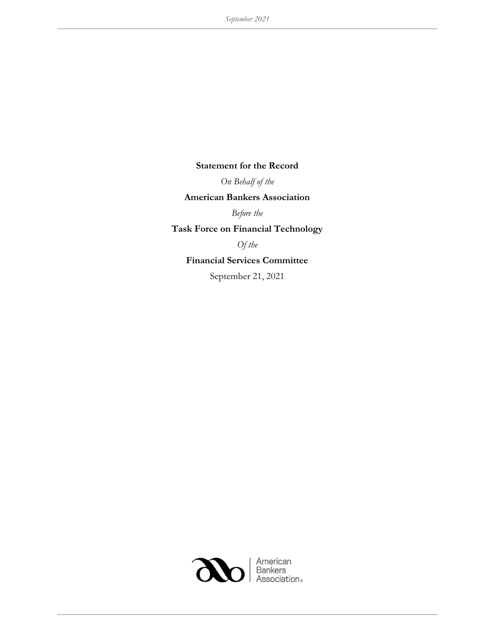## Statement for the Record

On Behalf of the

## American Bankers Association

Before the

Task Force on Financial Technology

Of the

## Financial Services Committee

September 21, 2021

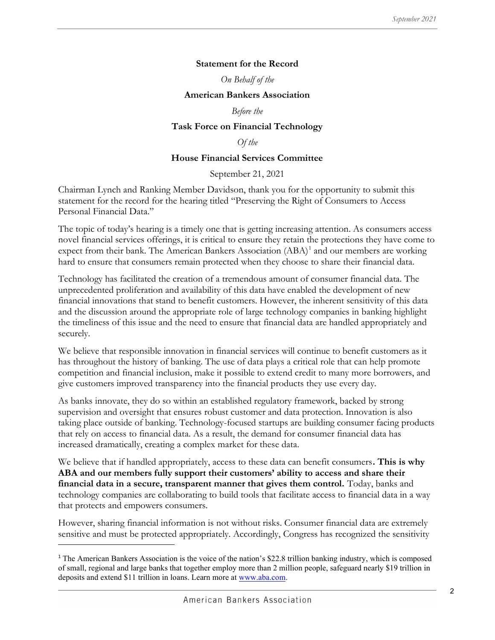## Statement for the Record

On Behalf of the

#### American Bankers Association

Before the

### Task Force on Financial Technology

## Of the

### House Financial Services Committee

September 21, 2021

Chairman Lynch and Ranking Member Davidson, thank you for the opportunity to submit this statement for the record for the hearing titled "Preserving the Right of Consumers to Access Personal Financial Data."

The topic of today's hearing is a timely one that is getting increasing attention. As consumers access novel financial services offerings, it is critical to ensure they retain the protections they have come to expect from their bank. The American Bankers Association (ABA)<sup>1</sup> and our members are working hard to ensure that consumers remain protected when they choose to share their financial data.

Technology has facilitated the creation of a tremendous amount of consumer financial data. The unprecedented proliferation and availability of this data have enabled the development of new financial innovations that stand to benefit customers. However, the inherent sensitivity of this data and the discussion around the appropriate role of large technology companies in banking highlight the timeliness of this issue and the need to ensure that financial data are handled appropriately and securely.

We believe that responsible innovation in financial services will continue to benefit customers as it has throughout the history of banking. The use of data plays a critical role that can help promote competition and financial inclusion, make it possible to extend credit to many more borrowers, and give customers improved transparency into the financial products they use every day.

As banks innovate, they do so within an established regulatory framework, backed by strong supervision and oversight that ensures robust customer and data protection. Innovation is also taking place outside of banking. Technology-focused startups are building consumer facing products that rely on access to financial data. As a result, the demand for consumer financial data has increased dramatically, creating a complex market for these data.

We believe that if handled appropriately, access to these data can benefit consumers. This is why ABA and our members fully support their customers' ability to access and share their financial data in a secure, transparent manner that gives them control. Today, banks and technology companies are collaborating to build tools that facilitate access to financial data in a way that protects and empowers consumers.

However, sharing financial information is not without risks. Consumer financial data are extremely sensitive and must be protected appropriately. Accordingly, Congress has recognized the sensitivity

<sup>1</sup> The American Bankers Association is the voice of the nation's \$22.8 trillion banking industry, which is composed of small, regional and large banks that together employ more than 2 million people, safeguard nearly \$19 trillion in deposits and extend \$11 trillion in loans. Learn more at www.aba.com.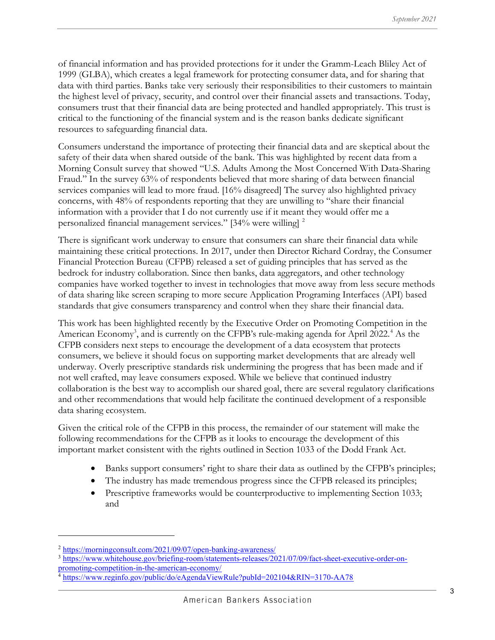of financial information and has provided protections for it under the Gramm-Leach Bliley Act of 1999 (GLBA), which creates a legal framework for protecting consumer data, and for sharing that data with third parties. Banks take very seriously their responsibilities to their customers to maintain the highest level of privacy, security, and control over their financial assets and transactions. Today, consumers trust that their financial data are being protected and handled appropriately. This trust is critical to the functioning of the financial system and is the reason banks dedicate significant resources to safeguarding financial data.

Consumers understand the importance of protecting their financial data and are skeptical about the safety of their data when shared outside of the bank. This was highlighted by recent data from a Morning Consult survey that showed "U.S. Adults Among the Most Concerned With Data-Sharing Fraud." In the survey 63% of respondents believed that more sharing of data between financial services companies will lead to more fraud. [16% disagreed] The survey also highlighted privacy concerns, with 48% of respondents reporting that they are unwilling to "share their financial information with a provider that I do not currently use if it meant they would offer me a personalized financial management services." [34% were willing] <sup>2</sup>

There is significant work underway to ensure that consumers can share their financial data while maintaining these critical protections. In 2017, under then Director Richard Cordray, the Consumer Financial Protection Bureau (CFPB) released a set of guiding principles that has served as the bedrock for industry collaboration. Since then banks, data aggregators, and other technology companies have worked together to invest in technologies that move away from less secure methods of data sharing like screen scraping to more secure Application Programing Interfaces (API) based standards that give consumers transparency and control when they share their financial data.

This work has been highlighted recently by the Executive Order on Promoting Competition in the American Economy<sup>3</sup>, and is currently on the CFPB's rule-making agenda for April 2022.<sup>4</sup> As the CFPB considers next steps to encourage the development of a data ecosystem that protects consumers, we believe it should focus on supporting market developments that are already well underway. Overly prescriptive standards risk undermining the progress that has been made and if not well crafted, may leave consumers exposed. While we believe that continued industry collaboration is the best way to accomplish our shared goal, there are several regulatory clarifications and other recommendations that would help facilitate the continued development of a responsible data sharing ecosystem.

Given the critical role of the CFPB in this process, the remainder of our statement will make the following recommendations for the CFPB as it looks to encourage the development of this important market consistent with the rights outlined in Section 1033 of the Dodd Frank Act.

- Banks support consumers' right to share their data as outlined by the CFPB's principles;
- The industry has made tremendous progress since the CFPB released its principles;
- Prescriptive frameworks would be counterproductive to implementing Section 1033; and

<sup>2</sup> https://morningconsult.com/2021/09/07/open-banking-awareness/

<sup>3</sup> https://www.whitehouse.gov/briefing-room/statements-releases/2021/07/09/fact-sheet-executive-order-onpromoting-competition-in-the-american-economy/

<sup>&</sup>lt;sup>4</sup> https://www.reginfo.gov/public/do/eAgendaViewRule?pubId=202104&RIN=3170-AA78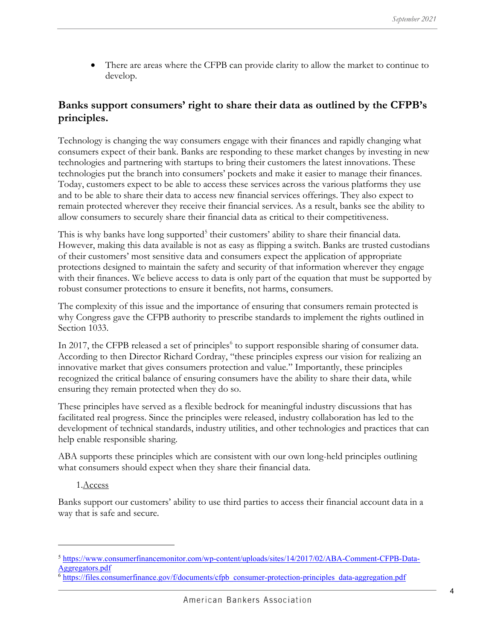There are areas where the CFPB can provide clarity to allow the market to continue to develop.

# Banks support consumers' right to share their data as outlined by the CFPB's principles.

Technology is changing the way consumers engage with their finances and rapidly changing what consumers expect of their bank. Banks are responding to these market changes by investing in new technologies and partnering with startups to bring their customers the latest innovations. These technologies put the branch into consumers' pockets and make it easier to manage their finances. Today, customers expect to be able to access these services across the various platforms they use and to be able to share their data to access new financial services offerings. They also expect to remain protected wherever they receive their financial services. As a result, banks see the ability to allow consumers to securely share their financial data as critical to their competitiveness.

This is why banks have long supported<sup>5</sup> their customers' ability to share their financial data. However, making this data available is not as easy as flipping a switch. Banks are trusted custodians of their customers' most sensitive data and consumers expect the application of appropriate protections designed to maintain the safety and security of that information wherever they engage with their finances. We believe access to data is only part of the equation that must be supported by robust consumer protections to ensure it benefits, not harms, consumers.

The complexity of this issue and the importance of ensuring that consumers remain protected is why Congress gave the CFPB authority to prescribe standards to implement the rights outlined in Section 1033.

In 2017, the CFPB released a set of principles<sup>6</sup> to support responsible sharing of consumer data. According to then Director Richard Cordray, "these principles express our vision for realizing an innovative market that gives consumers protection and value." Importantly, these principles recognized the critical balance of ensuring consumers have the ability to share their data, while ensuring they remain protected when they do so.

These principles have served as a flexible bedrock for meaningful industry discussions that has facilitated real progress. Since the principles were released, industry collaboration has led to the development of technical standards, industry utilities, and other technologies and practices that can help enable responsible sharing.

ABA supports these principles which are consistent with our own long-held principles outlining what consumers should expect when they share their financial data.

## 1.Access

Banks support our customers' ability to use third parties to access their financial account data in a way that is safe and secure.

<sup>5</sup> https://www.consumerfinancemonitor.com/wp-content/uploads/sites/14/2017/02/ABA-Comment-CFPB-Data-Aggregators.pdf

<sup>6</sup> https://files.consumerfinance.gov/f/documents/cfpb\_consumer-protection-principles\_data-aggregation.pdf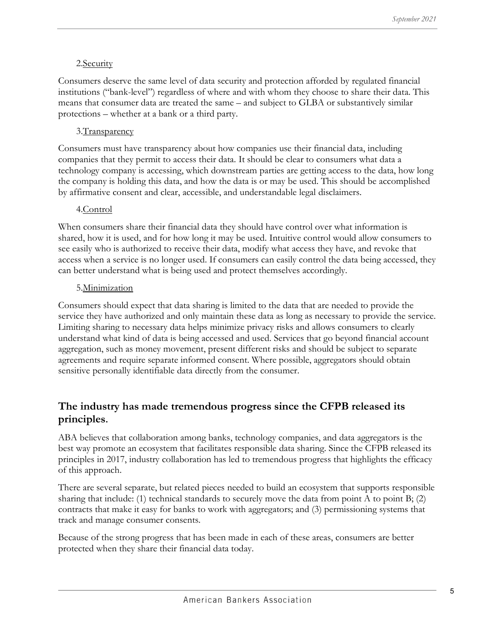## 2.Security

Consumers deserve the same level of data security and protection afforded by regulated financial institutions ("bank-level") regardless of where and with whom they choose to share their data. This means that consumer data are treated the same – and subject to GLBA or substantively similar protections – whether at a bank or a third party.

# 3. Transparency

Consumers must have transparency about how companies use their financial data, including companies that they permit to access their data. It should be clear to consumers what data a technology company is accessing, which downstream parties are getting access to the data, how long the company is holding this data, and how the data is or may be used. This should be accomplished by affirmative consent and clear, accessible, and understandable legal disclaimers.

## 4.Control

When consumers share their financial data they should have control over what information is shared, how it is used, and for how long it may be used. Intuitive control would allow consumers to see easily who is authorized to receive their data, modify what access they have, and revoke that access when a service is no longer used. If consumers can easily control the data being accessed, they can better understand what is being used and protect themselves accordingly.

## 5.Minimization

Consumers should expect that data sharing is limited to the data that are needed to provide the service they have authorized and only maintain these data as long as necessary to provide the service. Limiting sharing to necessary data helps minimize privacy risks and allows consumers to clearly understand what kind of data is being accessed and used. Services that go beyond financial account aggregation, such as money movement, present different risks and should be subject to separate agreements and require separate informed consent. Where possible, aggregators should obtain sensitive personally identifiable data directly from the consumer.

# The industry has made tremendous progress since the CFPB released its principles.

ABA believes that collaboration among banks, technology companies, and data aggregators is the best way promote an ecosystem that facilitates responsible data sharing. Since the CFPB released its principles in 2017, industry collaboration has led to tremendous progress that highlights the efficacy of this approach.

There are several separate, but related pieces needed to build an ecosystem that supports responsible sharing that include: (1) technical standards to securely move the data from point A to point B; (2) contracts that make it easy for banks to work with aggregators; and (3) permissioning systems that track and manage consumer consents.

Because of the strong progress that has been made in each of these areas, consumers are better protected when they share their financial data today.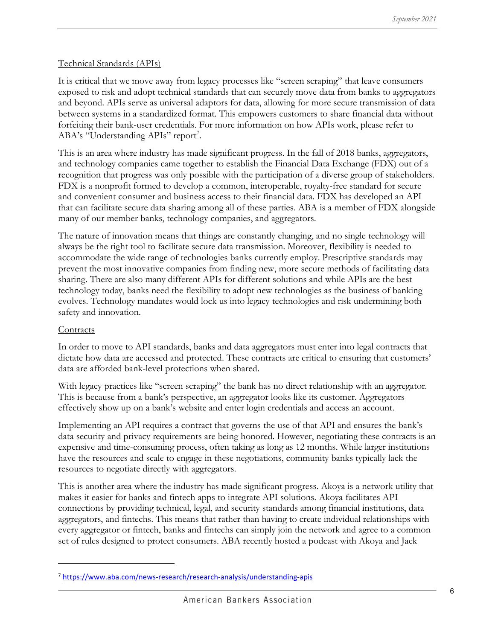## Technical Standards (APIs)

It is critical that we move away from legacy processes like "screen scraping" that leave consumers exposed to risk and adopt technical standards that can securely move data from banks to aggregators and beyond. APIs serve as universal adaptors for data, allowing for more secure transmission of data between systems in a standardized format. This empowers customers to share financial data without forfeiting their bank-user credentials. For more information on how APIs work, please refer to ABA's "Understanding APIs" report<sup>7</sup>.

This is an area where industry has made significant progress. In the fall of 2018 banks, aggregators, and technology companies came together to establish the Financial Data Exchange (FDX) out of a recognition that progress was only possible with the participation of a diverse group of stakeholders. FDX is a nonprofit formed to develop a common, interoperable, royalty-free standard for secure and convenient consumer and business access to their financial data. FDX has developed an API that can facilitate secure data sharing among all of these parties. ABA is a member of FDX alongside many of our member banks, technology companies, and aggregators.

The nature of innovation means that things are constantly changing, and no single technology will always be the right tool to facilitate secure data transmission. Moreover, flexibility is needed to accommodate the wide range of technologies banks currently employ. Prescriptive standards may prevent the most innovative companies from finding new, more secure methods of facilitating data sharing. There are also many different APIs for different solutions and while APIs are the best technology today, banks need the flexibility to adopt new technologies as the business of banking evolves. Technology mandates would lock us into legacy technologies and risk undermining both safety and innovation.

## **Contracts**

In order to move to API standards, banks and data aggregators must enter into legal contracts that dictate how data are accessed and protected. These contracts are critical to ensuring that customers' data are afforded bank-level protections when shared.

With legacy practices like "screen scraping" the bank has no direct relationship with an aggregator. This is because from a bank's perspective, an aggregator looks like its customer. Aggregators effectively show up on a bank's website and enter login credentials and access an account.

Implementing an API requires a contract that governs the use of that API and ensures the bank's data security and privacy requirements are being honored. However, negotiating these contracts is an expensive and time-consuming process, often taking as long as 12 months. While larger institutions have the resources and scale to engage in these negotiations, community banks typically lack the resources to negotiate directly with aggregators.

This is another area where the industry has made significant progress. Akoya is a network utility that makes it easier for banks and fintech apps to integrate API solutions. Akoya facilitates API connections by providing technical, legal, and security standards among financial institutions, data aggregators, and fintechs. This means that rather than having to create individual relationships with every aggregator or fintech, banks and fintechs can simply join the network and agree to a common set of rules designed to protect consumers. ABA recently hosted a podcast with Akoya and Jack

<sup>7</sup> https://www.aba.com/news-research/research-analysis/understanding-apis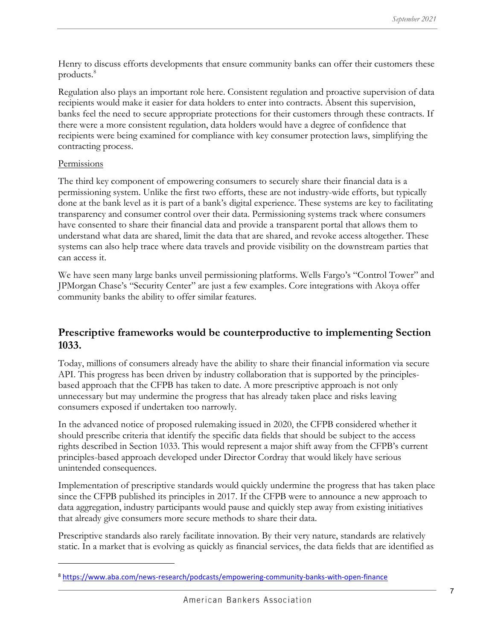Henry to discuss efforts developments that ensure community banks can offer their customers these products.<sup>8</sup>

Regulation also plays an important role here. Consistent regulation and proactive supervision of data recipients would make it easier for data holders to enter into contracts. Absent this supervision, banks feel the need to secure appropriate protections for their customers through these contracts. If there were a more consistent regulation, data holders would have a degree of confidence that recipients were being examined for compliance with key consumer protection laws, simplifying the contracting process.

#### Permissions

The third key component of empowering consumers to securely share their financial data is a permissioning system. Unlike the first two efforts, these are not industry-wide efforts, but typically done at the bank level as it is part of a bank's digital experience. These systems are key to facilitating transparency and consumer control over their data. Permissioning systems track where consumers have consented to share their financial data and provide a transparent portal that allows them to understand what data are shared, limit the data that are shared, and revoke access altogether. These systems can also help trace where data travels and provide visibility on the downstream parties that can access it.

We have seen many large banks unveil permissioning platforms. Wells Fargo's "Control Tower" and JPMorgan Chase's "Security Center" are just a few examples. Core integrations with Akoya offer community banks the ability to offer similar features.

# Prescriptive frameworks would be counterproductive to implementing Section 1033.

Today, millions of consumers already have the ability to share their financial information via secure API. This progress has been driven by industry collaboration that is supported by the principlesbased approach that the CFPB has taken to date. A more prescriptive approach is not only unnecessary but may undermine the progress that has already taken place and risks leaving consumers exposed if undertaken too narrowly.

In the advanced notice of proposed rulemaking issued in 2020, the CFPB considered whether it should prescribe criteria that identify the specific data fields that should be subject to the access rights described in Section 1033. This would represent a major shift away from the CFPB's current principles-based approach developed under Director Cordray that would likely have serious unintended consequences.

Implementation of prescriptive standards would quickly undermine the progress that has taken place since the CFPB published its principles in 2017. If the CFPB were to announce a new approach to data aggregation, industry participants would pause and quickly step away from existing initiatives that already give consumers more secure methods to share their data.

Prescriptive standards also rarely facilitate innovation. By their very nature, standards are relatively static. In a market that is evolving as quickly as financial services, the data fields that are identified as

<sup>8</sup> https://www.aba.com/news-research/podcasts/empowering-community-banks-with-open-finance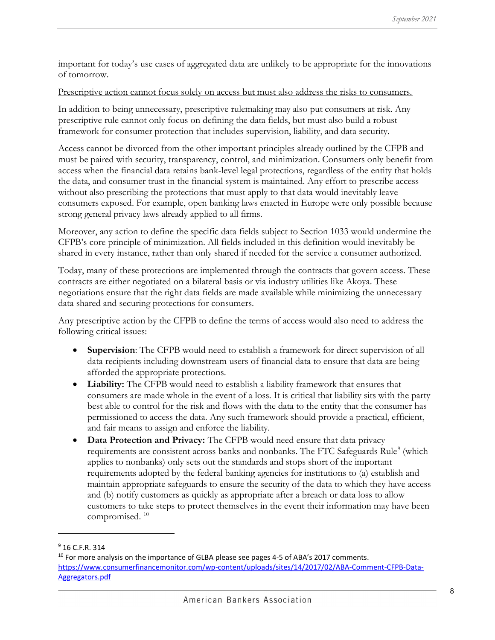important for today's use cases of aggregated data are unlikely to be appropriate for the innovations of tomorrow.

## Prescriptive action cannot focus solely on access but must also address the risks to consumers.

In addition to being unnecessary, prescriptive rulemaking may also put consumers at risk. Any prescriptive rule cannot only focus on defining the data fields, but must also build a robust framework for consumer protection that includes supervision, liability, and data security.

Access cannot be divorced from the other important principles already outlined by the CFPB and must be paired with security, transparency, control, and minimization. Consumers only benefit from access when the financial data retains bank-level legal protections, regardless of the entity that holds the data, and consumer trust in the financial system is maintained. Any effort to prescribe access without also prescribing the protections that must apply to that data would inevitably leave consumers exposed. For example, open banking laws enacted in Europe were only possible because strong general privacy laws already applied to all firms.

Moreover, any action to define the specific data fields subject to Section 1033 would undermine the CFPB's core principle of minimization. All fields included in this definition would inevitably be shared in every instance, rather than only shared if needed for the service a consumer authorized.

Today, many of these protections are implemented through the contracts that govern access. These contracts are either negotiated on a bilateral basis or via industry utilities like Akoya. These negotiations ensure that the right data fields are made available while minimizing the unnecessary data shared and securing protections for consumers.

Any prescriptive action by the CFPB to define the terms of access would also need to address the following critical issues:

- Supervision: The CFPB would need to establish a framework for direct supervision of all data recipients including downstream users of financial data to ensure that data are being afforded the appropriate protections.
- Liability: The CFPB would need to establish a liability framework that ensures that consumers are made whole in the event of a loss. It is critical that liability sits with the party best able to control for the risk and flows with the data to the entity that the consumer has permissioned to access the data. Any such framework should provide a practical, efficient, and fair means to assign and enforce the liability.
- Data Protection and Privacy: The CFPB would need ensure that data privacy requirements are consistent across banks and nonbanks. The FTC Safeguards Rule<sup>9</sup> (which applies to nonbanks) only sets out the standards and stops short of the important requirements adopted by the federal banking agencies for institutions to (a) establish and maintain appropriate safeguards to ensure the security of the data to which they have access and (b) notify customers as quickly as appropriate after a breach or data loss to allow customers to take steps to protect themselves in the event their information may have been compromised.<sup>10</sup>

<sup>9</sup> 16 C.F.R. 314

<sup>&</sup>lt;sup>10</sup> For more analysis on the importance of GLBA please see pages 4-5 of ABA's 2017 comments. https://www.consumerfinancemonitor.com/wp-content/uploads/sites/14/2017/02/ABA-Comment-CFPB-Data-Aggregators.pdf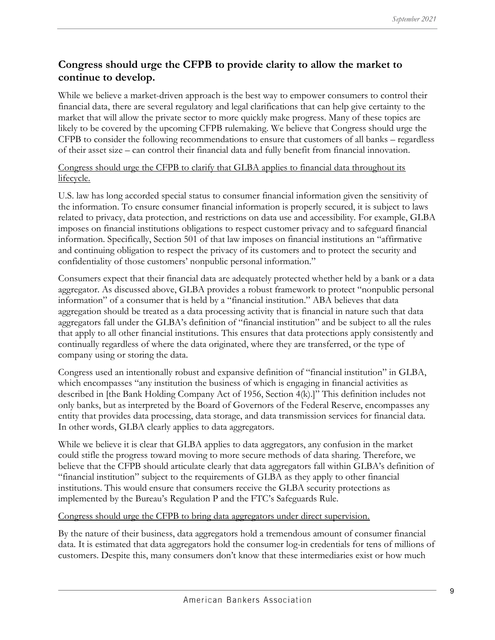# Congress should urge the CFPB to provide clarity to allow the market to continue to develop.

While we believe a market-driven approach is the best way to empower consumers to control their financial data, there are several regulatory and legal clarifications that can help give certainty to the market that will allow the private sector to more quickly make progress. Many of these topics are likely to be covered by the upcoming CFPB rulemaking. We believe that Congress should urge the CFPB to consider the following recommendations to ensure that customers of all banks – regardless of their asset size – can control their financial data and fully benefit from financial innovation.

Congress should urge the CFPB to clarify that GLBA applies to financial data throughout its lifecycle.

U.S. law has long accorded special status to consumer financial information given the sensitivity of the information. To ensure consumer financial information is properly secured, it is subject to laws related to privacy, data protection, and restrictions on data use and accessibility. For example, GLBA imposes on financial institutions obligations to respect customer privacy and to safeguard financial information. Specifically, Section 501 of that law imposes on financial institutions an "affirmative and continuing obligation to respect the privacy of its customers and to protect the security and confidentiality of those customers' nonpublic personal information."

Consumers expect that their financial data are adequately protected whether held by a bank or a data aggregator. As discussed above, GLBA provides a robust framework to protect "nonpublic personal information" of a consumer that is held by a "financial institution." ABA believes that data aggregation should be treated as a data processing activity that is financial in nature such that data aggregators fall under the GLBA's definition of "financial institution" and be subject to all the rules that apply to all other financial institutions. This ensures that data protections apply consistently and continually regardless of where the data originated, where they are transferred, or the type of company using or storing the data.

Congress used an intentionally robust and expansive definition of "financial institution" in GLBA, which encompasses "any institution the business of which is engaging in financial activities as described in [the Bank Holding Company Act of 1956, Section 4(k).]" This definition includes not only banks, but as interpreted by the Board of Governors of the Federal Reserve, encompasses any entity that provides data processing, data storage, and data transmission services for financial data. In other words, GLBA clearly applies to data aggregators.

While we believe it is clear that GLBA applies to data aggregators, any confusion in the market could stifle the progress toward moving to more secure methods of data sharing. Therefore, we believe that the CFPB should articulate clearly that data aggregators fall within GLBA's definition of "financial institution" subject to the requirements of GLBA as they apply to other financial institutions. This would ensure that consumers receive the GLBA security protections as implemented by the Bureau's Regulation P and the FTC's Safeguards Rule.

## Congress should urge the CFPB to bring data aggregators under direct supervision.

By the nature of their business, data aggregators hold a tremendous amount of consumer financial data. It is estimated that data aggregators hold the consumer log-in credentials for tens of millions of customers. Despite this, many consumers don't know that these intermediaries exist or how much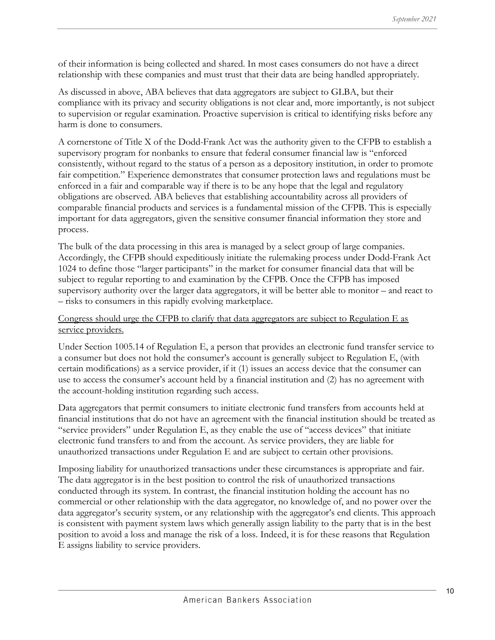of their information is being collected and shared. In most cases consumers do not have a direct relationship with these companies and must trust that their data are being handled appropriately.

As discussed in above, ABA believes that data aggregators are subject to GLBA, but their compliance with its privacy and security obligations is not clear and, more importantly, is not subject to supervision or regular examination. Proactive supervision is critical to identifying risks before any harm is done to consumers.

A cornerstone of Title X of the Dodd-Frank Act was the authority given to the CFPB to establish a supervisory program for nonbanks to ensure that federal consumer financial law is "enforced consistently, without regard to the status of a person as a depository institution, in order to promote fair competition." Experience demonstrates that consumer protection laws and regulations must be enforced in a fair and comparable way if there is to be any hope that the legal and regulatory obligations are observed. ABA believes that establishing accountability across all providers of comparable financial products and services is a fundamental mission of the CFPB. This is especially important for data aggregators, given the sensitive consumer financial information they store and process.

The bulk of the data processing in this area is managed by a select group of large companies. Accordingly, the CFPB should expeditiously initiate the rulemaking process under Dodd-Frank Act 1024 to define those "larger participants" in the market for consumer financial data that will be subject to regular reporting to and examination by the CFPB. Once the CFPB has imposed supervisory authority over the larger data aggregators, it will be better able to monitor – and react to – risks to consumers in this rapidly evolving marketplace.

### Congress should urge the CFPB to clarify that data aggregators are subject to Regulation  $E$  as service providers.

Under Section 1005.14 of Regulation E, a person that provides an electronic fund transfer service to a consumer but does not hold the consumer's account is generally subject to Regulation E, (with certain modifications) as a service provider, if it (1) issues an access device that the consumer can use to access the consumer's account held by a financial institution and (2) has no agreement with the account-holding institution regarding such access.

Data aggregators that permit consumers to initiate electronic fund transfers from accounts held at financial institutions that do not have an agreement with the financial institution should be treated as "service providers" under Regulation E, as they enable the use of "access devices" that initiate electronic fund transfers to and from the account. As service providers, they are liable for unauthorized transactions under Regulation E and are subject to certain other provisions.

Imposing liability for unauthorized transactions under these circumstances is appropriate and fair. The data aggregator is in the best position to control the risk of unauthorized transactions conducted through its system. In contrast, the financial institution holding the account has no commercial or other relationship with the data aggregator, no knowledge of, and no power over the data aggregator's security system, or any relationship with the aggregator's end clients. This approach is consistent with payment system laws which generally assign liability to the party that is in the best position to avoid a loss and manage the risk of a loss. Indeed, it is for these reasons that Regulation E assigns liability to service providers.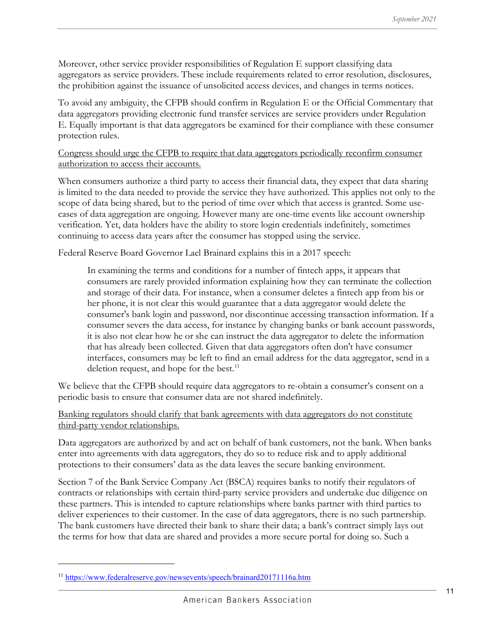Moreover, other service provider responsibilities of Regulation E support classifying data aggregators as service providers. These include requirements related to error resolution, disclosures, the prohibition against the issuance of unsolicited access devices, and changes in terms notices.

To avoid any ambiguity, the CFPB should confirm in Regulation E or the Official Commentary that data aggregators providing electronic fund transfer services are service providers under Regulation E. Equally important is that data aggregators be examined for their compliance with these consumer protection rules.

Congress should urge the CFPB to require that data aggregators periodically reconfirm consumer authorization to access their accounts.

When consumers authorize a third party to access their financial data, they expect that data sharing is limited to the data needed to provide the service they have authorized. This applies not only to the scope of data being shared, but to the period of time over which that access is granted. Some usecases of data aggregation are ongoing. However many are one-time events like account ownership verification. Yet, data holders have the ability to store login credentials indefinitely, sometimes continuing to access data years after the consumer has stopped using the service.

Federal Reserve Board Governor Lael Brainard explains this in a 2017 speech:

In examining the terms and conditions for a number of fintech apps, it appears that consumers are rarely provided information explaining how they can terminate the collection and storage of their data. For instance, when a consumer deletes a fintech app from his or her phone, it is not clear this would guarantee that a data aggregator would delete the consumer's bank login and password, nor discontinue accessing transaction information. If a consumer severs the data access, for instance by changing banks or bank account passwords, it is also not clear how he or she can instruct the data aggregator to delete the information that has already been collected. Given that data aggregators often don't have consumer interfaces, consumers may be left to find an email address for the data aggregator, send in a deletion request, and hope for the best.<sup>11</sup>

We believe that the CFPB should require data aggregators to re-obtain a consumer's consent on a periodic basis to ensure that consumer data are not shared indefinitely.

Banking regulators should clarify that bank agreements with data aggregators do not constitute third-party vendor relationships.

Data aggregators are authorized by and act on behalf of bank customers, not the bank. When banks enter into agreements with data aggregators, they do so to reduce risk and to apply additional protections to their consumers' data as the data leaves the secure banking environment.

Section 7 of the Bank Service Company Act (BSCA) requires banks to notify their regulators of contracts or relationships with certain third-party service providers and undertake due diligence on these partners. This is intended to capture relationships where banks partner with third parties to deliver experiences to their customer. In the case of data aggregators, there is no such partnership. The bank customers have directed their bank to share their data; a bank's contract simply lays out the terms for how that data are shared and provides a more secure portal for doing so. Such a

<sup>11</sup> https://www.federalreserve.gov/newsevents/speech/brainard20171116a.htm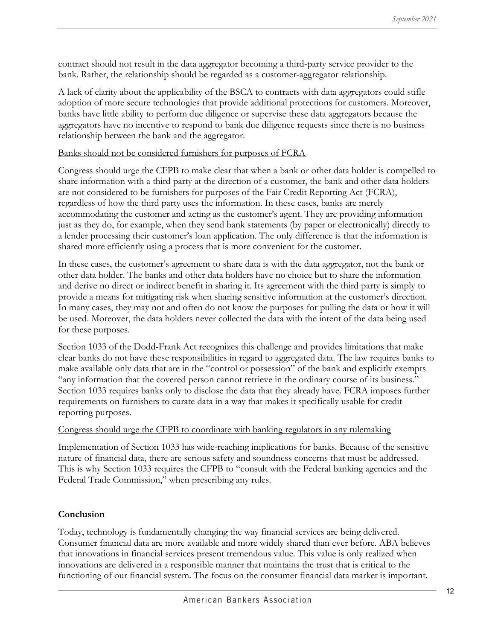contract should not result in the data aggregator becoming a third-party service provider to the bank. Rather, the relationship should be regarded as a customer-aggregator relationship.

A lack of clarity about the applicability of the BSCA to contracts with data aggregators could stifle adoption of more secure technologies that provide additional protections for customers. Moreover, banks have little ability to perform due diligence or supervise these data aggregators because the aggregators have no incentive to respond to bank due diligence requests since there is no business relationship between the bank and the aggregator.

## Banks should not be considered furnishers for purposes of FCRA

Congress should urge the CFPB to make clear that when a bank or other data holder is compelled to share information with a third party at the direction of a customer, the bank and other data holders are not considered to be furnishers for purposes of the Fair Credit Reporting Act (FCRA), regardless of how the third party uses the information. In these cases, banks are merely accommodating the customer and acting as the customer's agent. They are providing information just as they do, for example, when they send bank statements (by paper or electronically) directly to a lender processing their customer's loan application. The only difference is that the information is shared more efficiently using a process that is more convenient for the customer.

In these cases, the customer's agreement to share data is with the data aggregator, not the bank or other data holder. The banks and other data holders have no choice but to share the information and derive no direct or indirect benefit in sharing it. Its agreement with the third party is simply to provide a means for mitigating risk when sharing sensitive information at the customer's direction. In many cases, they may not and often do not know the purposes for pulling the data or how it will be used. Moreover, the data holders never collected the data with the intent of the data being used for these purposes.

Section 1033 of the Dodd-Frank Act recognizes this challenge and provides limitations that make clear banks do not have these responsibilities in regard to aggregated data. The law requires banks to make available only data that are in the "control or possession" of the bank and explicitly exempts "any information that the covered person cannot retrieve in the ordinary course of its business." Section 1033 requires banks only to disclose the data that they already have. FCRA imposes further requirements on furnishers to curate data in a way that makes it specifically usable for credit reporting purposes.

## Congress should urge the CFPB to coordinate with banking regulators in any rulemaking

Implementation of Section 1033 has wide-reaching implications for banks. Because of the sensitive nature of financial data, there are serious safety and soundness concerns that must be addressed. This is why Section 1033 requires the CFPB to "consult with the Federal banking agencies and the Federal Trade Commission," when prescribing any rules.

## Conclusion

Today, technology is fundamentally changing the way financial services are being delivered. Consumer financial data are more available and more widely shared than ever before. ABA believes that innovations in financial services present tremendous value. This value is only realized when innovations are delivered in a responsible manner that maintains the trust that is critical to the functioning of our financial system. The focus on the consumer financial data market is important.